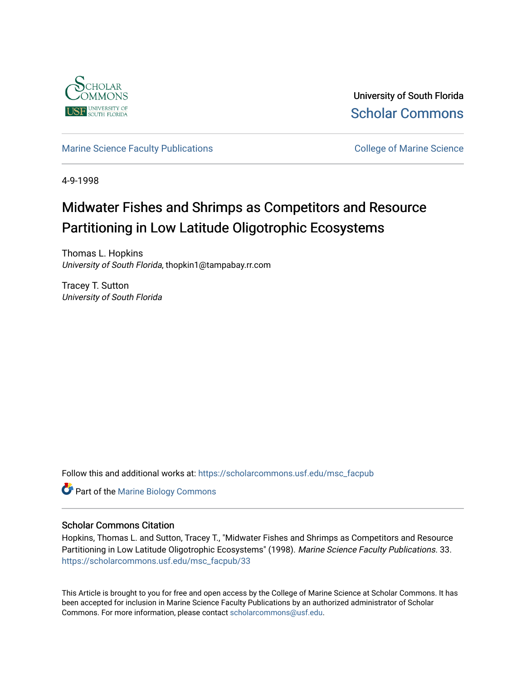

University of South Florida [Scholar Commons](https://scholarcommons.usf.edu/) 

# [Marine Science Faculty Publications](https://scholarcommons.usf.edu/msc_facpub) **College of Marine Science** College of Marine Science

4-9-1998

# Midwater Fishes and Shrimps as Competitors and Resource Partitioning in Low Latitude Oligotrophic Ecosystems

Thomas L. Hopkins University of South Florida, thopkin1@tampabay.rr.com

Tracey T. Sutton University of South Florida

Follow this and additional works at: [https://scholarcommons.usf.edu/msc\\_facpub](https://scholarcommons.usf.edu/msc_facpub?utm_source=scholarcommons.usf.edu%2Fmsc_facpub%2F33&utm_medium=PDF&utm_campaign=PDFCoverPages)

Part of the [Marine Biology Commons](http://network.bepress.com/hgg/discipline/1126?utm_source=scholarcommons.usf.edu%2Fmsc_facpub%2F33&utm_medium=PDF&utm_campaign=PDFCoverPages) 

## Scholar Commons Citation

Hopkins, Thomas L. and Sutton, Tracey T., "Midwater Fishes and Shrimps as Competitors and Resource Partitioning in Low Latitude Oligotrophic Ecosystems" (1998). Marine Science Faculty Publications. 33. [https://scholarcommons.usf.edu/msc\\_facpub/33](https://scholarcommons.usf.edu/msc_facpub/33?utm_source=scholarcommons.usf.edu%2Fmsc_facpub%2F33&utm_medium=PDF&utm_campaign=PDFCoverPages) 

This Article is brought to you for free and open access by the College of Marine Science at Scholar Commons. It has been accepted for inclusion in Marine Science Faculty Publications by an authorized administrator of Scholar Commons. For more information, please contact [scholarcommons@usf.edu.](mailto:scholarcommons@usf.edu)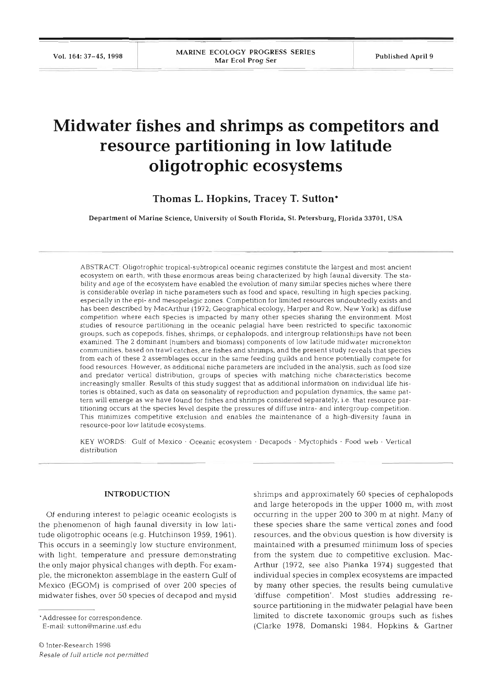# **Midwater fishes and shrimps as competitors and resource partitioning in low latitude oligotrophic ecosystems**

**Thomas L. Hopkins, Tracey T. Sutton\*** 

**Department of Marine Science. University of South Florida. St. Petersburg, Florida 33701. USA** 

ABSTRACT: Oligotrophic tropical-subtropical oceanic regimes constitute the largest and most ancient ecosystem on earth, with these enormous areas being characterized by high faunal diversity. The stability and age of the ecosystem have enabled the evolution of many similar species niches where there is considerable overlap in niche parameters such as food and space, resulting in high species packing, especially in the epi- and mesopelagic zones. Competition for limited resources undoubtedly exists and has been described by MacArthur (1972; Geographical ecology, Harper and Row, New York) as diffuse competition where each species is impacted by many other species sharing the environment. Most studies of resource partitioning in the oceanic pelagial have been restricted to specific taxonomic groups, such as copepods, fishes, shrimps, or cephalopods, and intergroup relationships have not been examined. The 2 dominant (numbers and biomass) components of low latitude midwater micronekton communities, based on trawl catches, are flshes and shrimps, and the present study reveals that species from each of these 2 assemblages occur in the same feeding guilds and hence potentially compete for food resources. However, as additional niche parameters are included in the analysis, such as food size and predator vertical distribution, groups of species with matching niche characteristics become increasingly smaller. Results of this study suggest that as additional information on individual life histories is obtained, such as data on seasonality of reproduction and population dynamics, the same pattern will emerge as we have found for fishes and shrimps considered separately, i.e. that resource partitioning occurs at the species level despite the pressures of diffuse intra- and intergroup competition. This minimizes competitive exclusion and enables the maintenance of a high-diversity fauna in resource-poor low latitude ecosystems.

KEY WORDS: Gulf of Mexico . Oceanic ecosystem . Decapods . Myctophids . Food web . Vertical distribution

### **INTRODUCTION**

Of enduring interest to pelagic oceanic ecologists is the phenomenon of high faunal diversity in low latitude oligotrophic oceans (e.g. Hutchinson 1959, 1961). This occurs in a seemingly low stucture environment, with light, temperature and pressure demonstrating the only major physical changes with depth. For example, the micronekton assemblage in the eastern Gulf of Mexico (EGOM) is comprised of over 200 species of midwater fishes, over 50 species of decapod and mysid

'Addressee for correspondence

E-mall. suttonOmarine.usf.edu

shrimps and approximately 60 species of cephalopods and large heteropods in the upper 1000 m, with most occurring in the upper 200 to 300 m at night. Many of these species share the same vertical zones and food resources, and the obvious question is how diversity is maintained with **a** presumed minimum loss of species from the system due to competitive exclusion. Mac-Arthur (1972, see also Pianka 1974) suggested that individual species in complex ecosystems are impacted by many other species, the results being cumulative 'diffuse competition'. Most studies addressing resource partitioning in the midwater pelagial have been limited to discrete taxonomic groups such as fishes (Clarke 1978, Domanski 1984, Hopkins & Gartner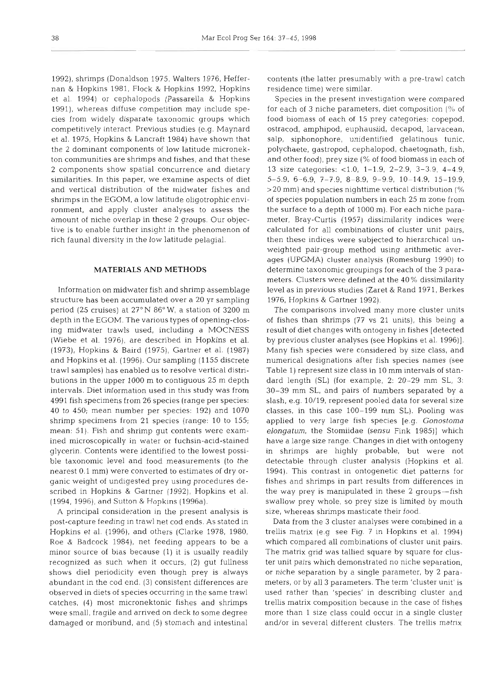1992), shrimps (Donaldson 1975, Walters 1976, Heffernan & Hopkins 1981, Flock & Hopkins 1992, Hopkins et al. 1994) or cephalopods (Passarella & Hopkins 1991), whereas diffuse competition may include species from widely disparate taxonomic groups which competitively interact. Previous studies (e.g. Maynard et al. 1975, Hopkins & Lancraft 1984) have shown that the 2 dominant components of low latitude micronekton communities are shrimps and fishes, and that these 2 components show spatial concurrence and dietary similarities. In this paper, we examine aspects of diet and vertical distribution of the midwater fishes and shrimps in the EGOM, a low latitude oligotrophic environment, and apply cluster analyses to assess the amount of niche overlap in these 2 groups. Our objective is to enable further insight in the phenomenon of rich fauna1 diversity in the low latitude pelagial.

### **MATERIALS AND METHODS**

Information on midwater fish and shrimp assemblage structure has been accumulated over a 20 yr sampling period (25 cruises) at  $27^{\circ}$  N  $86^{\circ}$  W, a station of 3200 m depth in the EGOM. The various types of opening-closing midwater trawls used, including a MOCNESS (Wiebe et al. 1976), are described in Hopkins et al. (1973), Hopkins & Baird (1975), Gartner et al. (1987) and Hopkins et al. (1996). Our sampling (1155 discrete trawl samples) has enabled us to resolve vertical distributions in the upper 1000 m to contiguous 25 m depth intervals. Diet information used in this study was from 4991 fish specimens from 26 species (range per species: 40 to 450; mean number per species: 192) and 1070 shrimp specimens from 21 species (range: 10 to 155; mean: 51). Fish and shrimp gut contents were examined microscopically in water or fuchsin-acid-stained glycerin. Contents were identified to the lowest possible taxonomic level and food measurements (to the nearest 0.1 mm) were converted to estimates of dry organic weight of undigested prey using procedures described in Hopkins & Gartner (1992), Hopkins et al. (1994, 1996), and Sutton & Hopkins (1996a).

A principal consideration in the present analysis is post-capture feeding in trawl net cod ends. As stated in Hopkins et al. (1996), and others (Clarke 1978, 1980, Roe & Badcock 1984), net feeding appears to be a minor source of bias because (1) it is usually readily recognized as such when it occurs, (2) gut fullness shows die1 periodicity even though prey is always abundant in the cod end, (3) consistent differences are observed in diets of species occurring in the same trawl catches, (4) most micronektonic fishes and shrimps were small, fragile and arrived on deck to some degree damaged or moribund, and (5) stomach and intestinal

contents (the latter presumably with a pre-trawl catch residence time) were similar.

Species in the present investigation were compared for each of 3 niche parameters, diet composition  $\frac{10}{14}$  of food biomass of each of 15 prey categories: copepod, ostracod, amphipod, euphausiid, decapod, larvacean, salp, siphonophore, unidentified gelatinous tunic, polychaete, gastropod, cephalopod, chaetognath, fish, and other food), prey size (% of food biomass in each of 13 size categories: <1.0, 1-1.9, 2-2.9, 3-3.9, 4-4.9, 5-5.9, 6-6.9, 7-7.9, 8-8.9, 9-9.9, 10-14.9, 15-19.9, >20 mm) and species nighttime vertical distribution (% of species population numbers in each 25 m zone from the surface to a depth of 1000 m). For each niche parameter, Bray-Curtis (1957) dissimilarity indices were calculated for all combinations of cluster unit pairs, then these indices were subjected to hierarchical unweighted pair-group method using arithmetic averages (UPGMA) cluster analysis (Romesburg 1990) to determine taxonomic groupings for each of the 3 parameters. Clusters were defined at the 40 % dissimilarity level as in previous studies (Zaret & Rand 1971, Berkes 1976, Hopkins & Gartner 1992).

The comparisons involved many more cluster units of fishes than shrimps (77 vs 21 units), this being a result of diet changes with ontogeny in fishes [detected by previous cluster analyses (see Hopkins et al. 1996)]. Many fish species were considered by size class, and numencal designations after fish species names (see Table 1) represent size class in 10 mm intervals of standard length (SL) (for example, 2: 20-29 mm SL, 3: 30-39 mm SL, and pairs of numbers separated by a slash, e.g. 10/19, represent pooled data for several size classes, in this case 100-199 mm SL). Pooling was applied to very large fish species [e.g. Gonostoma elongatum, the Stomiidae (sensu Fink 1985)) which have a large size range. Changes in diet with ontogeny in shrimps are highly probable, but were not detectable through cluster analysis (Hopkins et al. 1994). This contrast in ontogenetic diet patterns for fishes and shrimps in part results from differences in the way prey is manipulated in these 2 groups-fish swallow prey whole, so prey size is limited by mouth size, whereas shrimps masticate their food.

Data from the 3 cluster analyses were combined in a trellis matrix (e.g see Fig. 7 in Hopkins et al. 1994) which compared all combinations of cluster unit pairs. The matrix grid was tallied square by square for cluster unit pairs which demonstrated no niche separation, or niche separation by a single parameter, by 2 parameters, or by all 3 parameters. The term 'cluster unit' is used rather than 'species' in describing cluster and trellis matrix composition because in the case of fishes more than 1 size class could occur in a single cluster and/or in several different clusters. The trellis matrix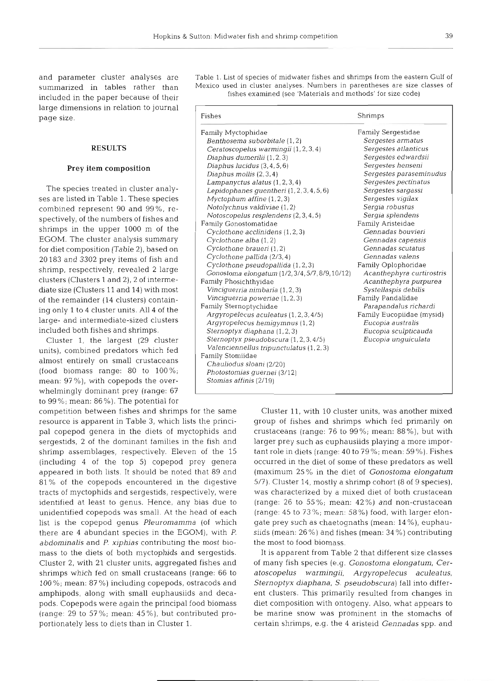and parameter cluster analyses are summarized in tables rather than included in the paper because of their large dimensions in relation to journal page size.

#### **RESULTS**

### Prey item composition

The species treated in cluster analyses are listed in Table 1. These species combined represent 90 and 99%, respectively, of the numbers of fishes and shrimps in the upper 1000 m of the EGOM. The cluster analysis summary for diet composition (Table 2), based on 20183 and 3302 prey items of fish and shrimp, respectively, revealed 2 large clusters (Clusters 1 and 2), 2 of intermediate size (Clusters 11 and 14) with most of the remainder (14 clusters) containing only 1 to 4 cluster units. All 4 of the large- and intermediate-sized clusters included both fishes and shrimps.

Cluster 1, the largest (29 cluster units), combined predators which fed almost entirely on small crustaceans (food biomass range: 80 to 100%; mean: 97%), with copepods the overwhelmingly dominant prey (range: 67 to 99%; mean: 86%). The potential for

competition between fishes and shrimps for the same resource is apparent in Table 3, which lists the principal copepod genera in the diets of myctophids and sergestids, 2 of the dominant families in the fish and shrimp assemblages, respectively. Eleven of the 15 (including 4 of the top 5) copepod prey genera appeared in both lists. It should be noted that 89 and 81% of the copepods encountered in the digestive tracts of myctophids and sergestids, respectively, were identified at least to genus. Hence, any bias due to unidentified copepods was small. At the head of each list is the copepod genus Pleuromamma (of which there are 4 abundant species in the EGOM), with P. abdominalis and P. xiphias contributing the most biomass to the diets of both myctophids and sergestids. Cluster 2, with 21 cluster units, aggregated fishes and shrimps which fed on small crustaceans (range: 66 to 100%; mean: 87%) including copepods, ostracods and amphipods, along with small euphausiids and decapods. Copepods were again the principal food biomass (range: 29 to 57%; mean: 45%), but contributed proportionately less to diets than in Cluster 1.

Table 1. List of species of midwater fishes and shrimps from the eastern Gulf of Mexico used in cluster analyses. Numbers in parentheses are size classes of fishes examined (see 'Materials and methods' for size code)

| Fishes                                                                                                                                                                                                                                                                                                                                                                                                                                                                                                                                                                                                                                                                                                                                                                                                                                                                                                                                                                                                                                                             | Shrimps                                                                                                                                                                                                                                                                                                                                                                                                                                                                                                                                                                                                     |
|--------------------------------------------------------------------------------------------------------------------------------------------------------------------------------------------------------------------------------------------------------------------------------------------------------------------------------------------------------------------------------------------------------------------------------------------------------------------------------------------------------------------------------------------------------------------------------------------------------------------------------------------------------------------------------------------------------------------------------------------------------------------------------------------------------------------------------------------------------------------------------------------------------------------------------------------------------------------------------------------------------------------------------------------------------------------|-------------------------------------------------------------------------------------------------------------------------------------------------------------------------------------------------------------------------------------------------------------------------------------------------------------------------------------------------------------------------------------------------------------------------------------------------------------------------------------------------------------------------------------------------------------------------------------------------------------|
| Family Myctophidae<br>Benthosema suborbitale (1,2)<br>Ceratoscopelus warmingii (1, 2, 3, 4)<br>Diaphus dumerilii (1, 2, 3)<br>Diaphus lucidus $(3, 4, 5, 6)$<br>Diaphus mollis $(2,3,4)$<br>Lampanyctus alatus $(1, 2, 3, 4)$<br>Lepidophanes quentheri (1, 2, 3, 4, 5, 6)<br>Myctophum affine $(1, 2, 3)$<br>Notolychnus valdiviae (1,2)<br>Notoscopelus resplendens (2, 3, 4, 5)<br>Family Gonostomatidae<br>Cyclothone acclinidens (1, 2, 3)<br>Cyclothone alba (1,2)<br>Cyclothone braueri (1,2)<br>Cyclothone pallida (2/3, 4)<br>Cyclothone pseudopallida (1, 2, 3)<br>Gonostoma elongatum (1/2, 3/4, 5/7, 8/9, 10/12)<br>Family Phosichthyidae<br>Vinciquerria nimbaria (1, 2, 3)<br>Vinciquerria poweriae (1, 2, 3)<br>Family Sternoptychidae<br>Argyropelecus aculeatus (1, 2, 3, 4/5)<br>Argyropelecus hemigymnus (1, 2)<br>Sternoptyx diaphana (1, 2, 3)<br>Sternoptyx pseudobscura (1, 2, 3, 4/5)<br>Valenciennellus tripunctulatus (1, 2, 3)<br>Family Stomiidae<br>Chauliodus sloani (2/20)<br>Photostomias guernei (3/12)<br>Stomias affinis (2/19) | Family Sergestidae<br>Sergestes armatus<br>Sergestes atlanticus<br>Sergestes edwardsii<br>Sergestes henseni<br>Sergestes paraseminudus<br>Sergestes pectinatus<br>Sergestes sargassi<br>Sergestes vigilax<br>Sergia robustus<br>Sergia splendens<br>Family Aristeidae<br>Gennadas bouvieri<br>Gennadas capensis<br>Gennadas scutatus<br>Gennadas valens<br>Family Oplophoridae<br>Acanthephyra curtirostris<br>Acanthephyra purpurea<br>Systellaspis debilis<br>Family Pandalidae<br>Parapandalus richardi<br>Family Eucopiidae (mysid)<br>Eucopia australis<br>Eucopia sculpticauda<br>Eucopia unguiculata |

Cluster 11, with 10 cluster units, was another mixed group of fishes and shrimps which fed primarily on crustaceans (range: 76 to 99%; mean: 88%), but with larger prey such as euphausiids playing a more important role in diets (range:  $40$  to  $79\%$ ; mean:  $59\%$ ). Fishes occurred in the diet of some of these predators as well (maximum 25% in the diet of Gonostoma elongatum 5/7). Cluster 14, mostly a shrimp cohort (8 of 9 species), was characterized by a mixed diet of both crustacean (range: 26 to 55%; mean: 42%) and non-crustacean (range: 45 to 73%; mean: 58%) food, with larger elongate prey such as chaetognaths (mean: 14%), euphausiids (mean: 26%) and fishes (mean: 34%) contributing the most to food biomass.

It is apparent from Table 2 that different size classes of many fish species (e.g. Gonostoma elongatum, Ceratoscopelus warmingii, Argyropelecus aculeatus, Sternoptyx diaphana, S. pseudobscura) fall into different clusters. This primarily resulted from changes in diet composition with ontogeny. Also, what appears to be marine snow was prominent in the stomachs of certain shrimps, e.g. the 4 aristeid Gennadas spp. and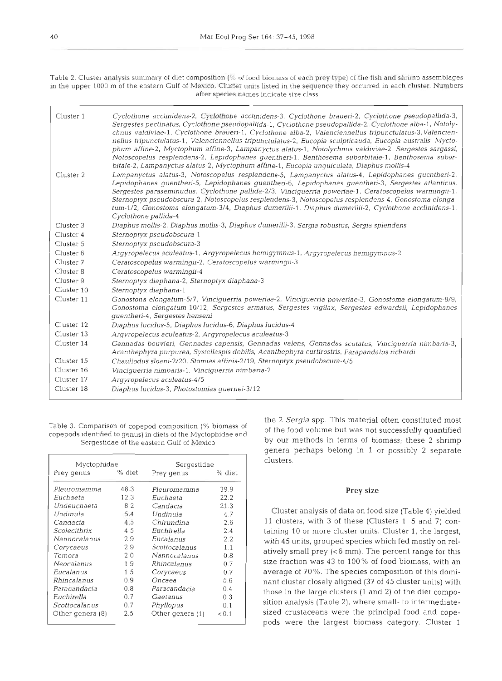*Table 2. Cluster analysis summary of diet composition* (% of food biomass of each prey type) of the fish and shrimp assemblages in the upper 1000 m of the eastern Gulf of Mexico. Cluster units listed in the sequence they occurred in each cluster. Numbers *after species names indlcate size class* 

| Cluster 1  | Cyclothone acclinidens-2, Cyclothone acclinidens-3, Cyclothone braueri-2, Cyclothone pseudopallida-3,<br>Sergestes pectinatus, Cyclothone pseudopallida-1, Cyclothone pseudopallida-2, Cyclothone alba-1, Notoly-<br>chnus valdiviae-1, Cyclothone braueri-1, Cyclothone alba-2, Valenciennellus tripunctulatus-3, Valencien-<br>nellus tripunctulatus-1, Valenciennellus tripunctulatus-2, Eucopia sculpticauda, Eucopia australis, Mycto-<br>phum affine-2, Myctophum affine-3, Lampanyctus alatus-1, Notolychnus valdiviae-2, Sergestes sargassi,<br>Notoscopelus resplendens-2, Lepidophanes guentheri-1, Benthosema suborbitale-1, Benthosema subor-<br>bitale-2, Lampanyctus alatus-2, Myctophum affine-1, Eucopia unquiculata, Diaphus mollis-4 |
|------------|--------------------------------------------------------------------------------------------------------------------------------------------------------------------------------------------------------------------------------------------------------------------------------------------------------------------------------------------------------------------------------------------------------------------------------------------------------------------------------------------------------------------------------------------------------------------------------------------------------------------------------------------------------------------------------------------------------------------------------------------------------|
| Cluster 2  | Lampanyctus alatus-3, Notoscopelus resplendens-5, Lampanyctus alatus-4, Lepidophanes quentheri-2,<br>Lepidophanes quentheri-5, Lepidophanes quentheri-6, Lepidophanes quentheri-3, Sergestes atlanticus,<br>Sergestes paraseminudus, Cyclothone pallida-2/3, Vinciguerria poweriae-1, Ceratoscopelus warmingii-1,<br>Sternoptyx pseudobscura-2, Notoscopelus resplendens-3, Notoscopelus resplendens-4, Gonostoma elonga-<br>tum-1/2, Gonostoma elongatum-3/4, Diaphus dumerilii-1, Diaphus dumerilii-2, Cyclothone acclinidens-1,<br>Cyclothone pallida-4                                                                                                                                                                                             |
| Cluster 3  | Diaphus mollis-2, Diaphus mollis-3, Diaphus dumerilii-3, Sergia robustus, Sergia splendens                                                                                                                                                                                                                                                                                                                                                                                                                                                                                                                                                                                                                                                             |
| Cluster 4  | Sternoptyx pseudobscura-1                                                                                                                                                                                                                                                                                                                                                                                                                                                                                                                                                                                                                                                                                                                              |
| Cluster 5  | Sternoptyx pseudobscura-3                                                                                                                                                                                                                                                                                                                                                                                                                                                                                                                                                                                                                                                                                                                              |
| Cluster 6  | Argyropelecus aculeatus-1, Argyropelecus hemigymnus-1, Argyropelecus hemigymnus-2                                                                                                                                                                                                                                                                                                                                                                                                                                                                                                                                                                                                                                                                      |
| Cluster 7  | Ceratoscopelus warmingii-2, Ceratoscopelus warmingii-3                                                                                                                                                                                                                                                                                                                                                                                                                                                                                                                                                                                                                                                                                                 |
| Cluster 8  | Ceratoscopelus warmingii-4                                                                                                                                                                                                                                                                                                                                                                                                                                                                                                                                                                                                                                                                                                                             |
| Cluster 9  | Sternoptyx diaphana-2, Sternoptyx diaphana-3                                                                                                                                                                                                                                                                                                                                                                                                                                                                                                                                                                                                                                                                                                           |
| Cluster 10 | Sternoptyx diaphana-1                                                                                                                                                                                                                                                                                                                                                                                                                                                                                                                                                                                                                                                                                                                                  |
| Cluster 11 | Gonostona elongatum-5/7, Vinciquerria poweriae-2, Vinciquerria poweriae-3, Gonostoma elongatum-8/9,<br>Gonostoma elongatum-10/12, Sergestes armatus, Sergestes vigilax, Sergestes edwardsii, Lepidophanes<br>guentheri-4, Sergestes henseni                                                                                                                                                                                                                                                                                                                                                                                                                                                                                                            |
| Cluster 12 | Diaphus lucidus-5, Diaphus lucidus-6, Diaphus lucidus-4                                                                                                                                                                                                                                                                                                                                                                                                                                                                                                                                                                                                                                                                                                |
| Cluster 13 | Argyropelecus aculeatus-2, Argyropelecus aculeatus-3                                                                                                                                                                                                                                                                                                                                                                                                                                                                                                                                                                                                                                                                                                   |
| Cluster 14 | Gennadas bouvieri, Gennadas capensis, Gennadas valens, Gennadas scutatus, Vinciquerria nimbaria-3,<br>Acanthephyra purpurea, Systellaspis debilis, Acanthephyra curtirostris, Parapandalus richardi                                                                                                                                                                                                                                                                                                                                                                                                                                                                                                                                                    |
| Cluster 15 | Chauliodus sloani-2/20, Stomias affinis-2/19, Sternoptyx pseudobscura-4/5                                                                                                                                                                                                                                                                                                                                                                                                                                                                                                                                                                                                                                                                              |
| Cluster 16 | Vinciquerria nimbaria-1, Vinciquerria nimbaria-2                                                                                                                                                                                                                                                                                                                                                                                                                                                                                                                                                                                                                                                                                                       |
| Cluster 17 | Argyropelecus aculeatus-4/5                                                                                                                                                                                                                                                                                                                                                                                                                                                                                                                                                                                                                                                                                                                            |
| Cluster 18 | Diaphus lucidus-3, Photostomias quernei-3/12                                                                                                                                                                                                                                                                                                                                                                                                                                                                                                                                                                                                                                                                                                           |

rable 5. Comparison of copepod composition (% biomass of of the food volume but was not successfully quantified copepods identified to genus) in diets of the Myctophidae and  $\frac{1}{2}$ 

| Myctophidae      |        | Sergestidae      |        |
|------------------|--------|------------------|--------|
| Prey genus       | % diet | Prey genus       | % diet |
| Pleuromamma      | 48.3   | Pleuromamma      | 39.9   |
| Euchaeta         | 12.3   | Euchaeta         | 22.2   |
| Undeuchaeta      | 8.2    | Candacia         | 21.3   |
| Undinula         | 5.4    | Undinula         | 4.7    |
| Candacia         | 4.5    | Chirundina       | 2.6    |
| Scolecithrix     | 4.5    | Euchirella       | 2.4    |
| Nannocalanus     | 2.9    | Eucalanus        | 2.2    |
| Corycaeus        | 2.9    | Scottocalanus    | 1.1    |
| Temora           | 2.0    | Nannocalanus     | 0.8    |
| Neocalanus       | 1.9    | Rhincalanus      | 0.7    |
| Eucalanus        | 15     | Corycaeus        | 0.7    |
| Rhincalanus      | 0.9    | Oncaea           | 0.6    |
| Paracandacia     | 0.8    | Paracandacia     | 0.4    |
| Euchirella       | 0.7    | Gaetanus         | 0.3    |
| Scottocalanus    | 0.7    | Phyllopus        | 0.1    |
| Other genera (8) | 2.5    | Other genera (1) | < 0.1  |

the 2 Sergia spp. This material often constituted most<br>Table 3. Comparison of copepod composition (% biomass of  $\frac{1}{2}$  of the food volume but was not successfully quantified *Serqestidae of* the *eastern Gulf of Mexico* by our methods in terms of biornass; these 2 shrimp genera perhaps belong in 1 or possibly 2 separate clusters.

## **Prey** size

Cluster analysis of data on food size (Table **4)** yielded l1 clusters, with **3** of these (Clusters 1, **5** and **7)** containing l0 or more cluster units. Cluster 1, the largest, with **45** units, grouped species which fed mostly on relatively small prey  $(< 6$  mm). The percent range for this size fraction was **43** to 100% of food biornass, with an average of 70 %. The species composition of this dominant cluster closely aligned (37 of 45 cluster units) with those in the large clusters (1 and 2) of the diet composition analysis (Table 2), where small- to intermediatesized crustaceans were the principal food and copepods were the largest biomass category. Cluster 1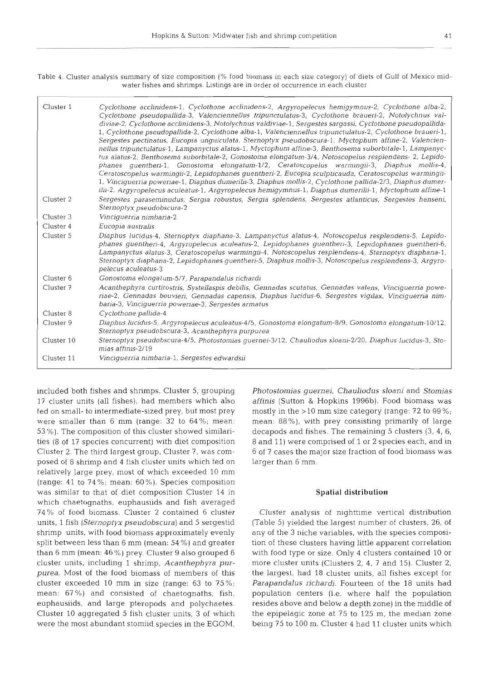Table 4. Cluster analysis summary of size composition (% food biomass in each size category) of diets of Gulf of Mexico midwater fishes and shrimps. Listings are in order of occurrence in each cluster

| Cluster 1  | Cyclothone acclinidens-1, Cyclothone acclinidens-2, Argyropelecus hemigymnus-2, Cyclothone alba-2,<br>Cyclothone pseudopallida-3, Valenciennellus tripunctulatus-3, Cyclothone braueri-2, Notolychnus val-<br>diviae-2, Cyclothone acclinidens-3, Notolychnus valdiviae-1, Sergestes sargassi, Cyclothone pseudopallida-<br>1, Cyclothone pseudopallida-2, Cyclothone alba-1, Valenciennellus tripunctulatus-2, Cyclothone braueri-1,<br>Sergestes pectinatus, Eucopia unguiculata, Sternoptyx pseudobscura-1, Myctophum affine-2, Valencien-<br>nellus tripunctulatus-1, Lampanyctus alatus-1, Myctophum affine-3, Benthosema suborbitale-1, Lampanyc-<br>tus alatus-2, Benthosema suborbitale-2, Gonostoma elongatum-3/4, Notoscopelus resplendens- 2, Lepido-<br>phanes guentheri-1, Gonostoma elongatum-1/2, Ceratoscopelus warmingii-3, Diaphus mollis-4,<br>Ceratoscopelus warmingii-2, Lepidophanes quentheri-2, Eucopia sculpticauda, Ceratoscopelus warmingii-<br>1, Vinciguerria poweriae-1, Diaphus dumerilii-3, Diaphus mollis-2, Cyclothone pallida-2/3, Diaphus dumer-<br>ilii-2, Argyropelecus aculeatus-1, Argyropelecus hemigymnus-1, Diaphus dumerilii-1, Myctophum affine-1 |
|------------|------------------------------------------------------------------------------------------------------------------------------------------------------------------------------------------------------------------------------------------------------------------------------------------------------------------------------------------------------------------------------------------------------------------------------------------------------------------------------------------------------------------------------------------------------------------------------------------------------------------------------------------------------------------------------------------------------------------------------------------------------------------------------------------------------------------------------------------------------------------------------------------------------------------------------------------------------------------------------------------------------------------------------------------------------------------------------------------------------------------------------------------------------------------------------------------------|
| Cluster 2  | Sergestes paraseminudus, Sergia robustus, Sergia splendens, Sergestes atlanticus, Sergestes henseni,<br>Sternoptyx pseudobscura-2                                                                                                                                                                                                                                                                                                                                                                                                                                                                                                                                                                                                                                                                                                                                                                                                                                                                                                                                                                                                                                                              |
| Cluster 3  | Vinciquerria nimbaria-2                                                                                                                                                                                                                                                                                                                                                                                                                                                                                                                                                                                                                                                                                                                                                                                                                                                                                                                                                                                                                                                                                                                                                                        |
| Cluster 4  | Eucopia australis                                                                                                                                                                                                                                                                                                                                                                                                                                                                                                                                                                                                                                                                                                                                                                                                                                                                                                                                                                                                                                                                                                                                                                              |
| Cluster 5  | Diaphus lucidus-4, Sternoptyx diaphana-3, Lampanyctus alatus-4, Notoscopelus resplendens-5, Lepido-<br>phanes quentheri-4, Argyropelecus aculeatus-2, Lepidophanes quentheri-3, Lepidophanes quentheri-6,<br>Lampanyctus alatus-3, Ceratoscopelus warmingii-4, Notoscopelus resplendens-4, Sternoptyx diaphana-1,<br>Sternoptyx diaphana-2, Lepidophanes guentheri-5, Diaphus mollis-3, Notoscopelus resplendens-3, Argyro-<br>pelecus aculeatus-3                                                                                                                                                                                                                                                                                                                                                                                                                                                                                                                                                                                                                                                                                                                                             |
| Cluster 6  | Gonostoma elongatum-5/7, Parapandalus richardi                                                                                                                                                                                                                                                                                                                                                                                                                                                                                                                                                                                                                                                                                                                                                                                                                                                                                                                                                                                                                                                                                                                                                 |
| Cluster 7  | Acanthephyra curtirostris, Systellaspis debilis, Gennadas scutatus, Gennadas valens, Vinciguerria powe-<br>riae-2, Gennadas bouvieri, Gennadas capensis, Diaphus lucidus-6, Sergestes vigilax, Vinciguerria nim-<br>baria-3, Vinciguerria poweriae-3, Sergestes armatus                                                                                                                                                                                                                                                                                                                                                                                                                                                                                                                                                                                                                                                                                                                                                                                                                                                                                                                        |
| Cluster 8  | Cyclothone pallida-4                                                                                                                                                                                                                                                                                                                                                                                                                                                                                                                                                                                                                                                                                                                                                                                                                                                                                                                                                                                                                                                                                                                                                                           |
| Cluster 9  | Diaphus lucidus-5, Argyropelecus aculeatus-4/5, Gonostoma elongatum-8/9, Gonostoma elongatum-10/12,<br>Sternoptyx pseudobscura-3, Acanthephyra purpurea                                                                                                                                                                                                                                                                                                                                                                                                                                                                                                                                                                                                                                                                                                                                                                                                                                                                                                                                                                                                                                        |
| Cluster 10 | Sternoptyx pseudobscura-4/5, Photostomias quernei-3/12, Chauliodus sloani-2/20, Diaphus lucidus-3, Sto-<br>mias affinis-2/19                                                                                                                                                                                                                                                                                                                                                                                                                                                                                                                                                                                                                                                                                                                                                                                                                                                                                                                                                                                                                                                                   |
| Cluster 11 | Vinciquerria nimbaria-1, Sergestes edwardsii                                                                                                                                                                                                                                                                                                                                                                                                                                                                                                                                                                                                                                                                                                                                                                                                                                                                                                                                                                                                                                                                                                                                                   |

included both fishes and shrimps. Cluster 5, grouping 17 cluster units (all fishes), had members which also fed on small- to intermediate-sized prey, but most prey were smaller than 6 mm (range: 32 to 64%; mean: 53 %). The composition of this cluster showed similarities (8 of 17 species concurrent) with diet composition Cluster 2. The third largest group, Cluster 7, was composed of 8 shrimp and 4 fish cluster units which fed on relatively large prey, most of which exceeded 10 mm (range: 41 to 74%; mean: 60%). Species composition was similar to that of diet composition Cluster 14 in which chaetognaths, euphausiids and fish averaged 74% of food biomass. Cluster 2 contained 6 cluster units, 1 fish (Sternoptyx pseudobscura) and 5 sergestid shrimp units, with food biomass approximately evenly split between less than 6 mm (mean: 54 %) and greater than 6 mm (mean: 46 %) prey. Cluster 9 also grouped 6 cluster units, including 1 shrimp, *Acanthephyra purpurea.* Most of the food biomass of members of this cluster exceeded 10 mm in size (range:  $63$  to  $75\%$ ; mean: 67%) and consisted of chaetognaths, fish, euphausiids, and large pteropods and polychaetes. Cluster 10 aggregated 5 fish cluster units, 3 of which were the most abundant stomiid species in the EGOM,

*Photostonlias guernei, Chauliodus sloani* and *Stomias affinis* (Sutton & Hopkins 1996b). Food biomass was mostly in the >l0 mm size category (range: 72 to 99%; mean: 88%), with prey consisting primarily of large decapods and fishes. The remaining 5 clusters **(3,** 4, *6,*  8 and 11) were comprised of 1 or 2 species each, and in 6 of 7 cases the major size fraction of food biomass was larger than 6 mm.

#### **Spatial distribution**

Cluster analysis of nighttime vertical distribution (Table 5) yielded the largest number of clusters, 26, of any of the 3 niche variables, with the species composition of these clusters having little apparent correlation with food type or size. Only 4 clusters contained 10 or more cluster units (Clusters 2, 4, 7 and 15). Cluster 2, the largest, had 18 cluster units, all fishes except for *Parapandalus richardi.* Fourteen of the 18 units had population centers (i.e. where half the population resides above and below a depth zone) in the middle of the epipelagic zone at 75 to 125 m, the median zone being 75 to 100 m. Cluster **4** had l1 cluster units which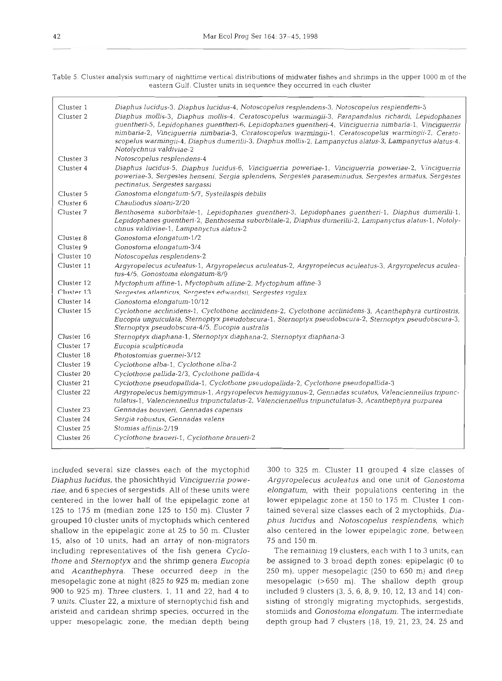*Table* 5. *Cluster analysis summary of nighttime vertical distributions of midwater fishcs and shrimps in the upper 1000 m of the eastern Gulf. Cluster units in sequence they occurred* in *cach cluster* 

| Cluster 1<br>Cluster 2 | Diaphus lucidus-3, Diaphus lucidus-4, Notoscopelus resplendens-3, Notoscopelus resplendens-5<br>Diaphus mollis-3, Diaphus mollis-4, Ceratoscopelus warmingii-3, Parapandalus richardi, Lepidophanes<br>quentherl-5, Lepidophanes quentheri-6, Lepidophanes quentheri-4, Vinciquerria nimbaria-1, Vinciquerria<br>nimbaria-2, Vinciguerria nimbaria-3, Ceratoscopelus warmingii-1, Ceratoscopelus warmingii-2, Cerato-<br>scopelus warmingii-4, Diaphus dumerilii-3, Diaphus mollis-2, Lampanyctus alatus-3, Lampanyctus alatus-4,<br>Notolychnus valdiviae-2 |
|------------------------|--------------------------------------------------------------------------------------------------------------------------------------------------------------------------------------------------------------------------------------------------------------------------------------------------------------------------------------------------------------------------------------------------------------------------------------------------------------------------------------------------------------------------------------------------------------|
| Cluster 3              | Notoscopelus resplendens-4                                                                                                                                                                                                                                                                                                                                                                                                                                                                                                                                   |
| Cluster 4              | Diaphus lucidus-5, Diaphus lucidus-6, Vinciquerria poweríae-1, Vinciquerria poweríae-2, Vinciquerria<br>poweriae-3, Sergestes henseni, Sergia splendens, Sergestes paraseminudus, Sergestes armatus, Sergestes<br>pectinatus, Sergestes sargassi                                                                                                                                                                                                                                                                                                             |
| Cluster 5              | Gonostoma elongatum-5/7, Systellaspis debilis                                                                                                                                                                                                                                                                                                                                                                                                                                                                                                                |
| Cluster <sub>6</sub>   | Chauliodus sloani-2/20                                                                                                                                                                                                                                                                                                                                                                                                                                                                                                                                       |
| Cluster 7              | Benthosema suborbitale-1, Lepidophanes guentheri-3, Lepidophanes guentheri-1, Diaphus dumerilii-1,<br>Lepidophanes quentheri-2, Benthosema suborbitale-2, Diaphus dumerilii-2, Lampanyctus alatus-1, Notoly-<br>chnus valdiviae-1, Lampanyctus alatus-2                                                                                                                                                                                                                                                                                                      |
| Cluster 8              | Gonostoma elongatum-1/2                                                                                                                                                                                                                                                                                                                                                                                                                                                                                                                                      |
| Cluster 9              | Gonostoma elongatum-3/4                                                                                                                                                                                                                                                                                                                                                                                                                                                                                                                                      |
| Cluster 10             | Notoscopelus resplendens-2                                                                                                                                                                                                                                                                                                                                                                                                                                                                                                                                   |
| Cluster 11             | Argyropelecus aculeatus-1, Argyropelecus aculeatus-2, Argyropelecus aculeatus-3, Argyropelecus aculea-<br>tus-4/5, Gonostoma elongatum-8/9                                                                                                                                                                                                                                                                                                                                                                                                                   |
| Cluster 12             | Myctophum affine-1, Myctophum affine-2, Myctophum affine-3                                                                                                                                                                                                                                                                                                                                                                                                                                                                                                   |
| Cluster 13             | Sergestes atlanticus, Sergestes edwardsii, Sergestes vigilax                                                                                                                                                                                                                                                                                                                                                                                                                                                                                                 |
| Cluster 14             | Gonostoma elongatum-10/12                                                                                                                                                                                                                                                                                                                                                                                                                                                                                                                                    |
| Cluster 15             | Cyclothone acclinidens-1, Cyclothone acclinidens-2, Cyclothone acclinidens-3, Acanthephyra curtirostris,<br>Eucopia unguiculata, Sternoptyx pseudobscura-1, Sternoptyx pseudobscura-2, Sternoptyx pseudobscura-3,<br>Sternoptyx pseudobscura-4/5, Eucopia australis                                                                                                                                                                                                                                                                                          |
| Cluster 16             | Sternoptyx diaphana-1, Sternoptyx diaphana-2, Sternoptyx diaphana-3                                                                                                                                                                                                                                                                                                                                                                                                                                                                                          |
| Cluster 17             | Eucopia sculpticauda                                                                                                                                                                                                                                                                                                                                                                                                                                                                                                                                         |
| Cluster 18             | Photostomias guernei-3/12                                                                                                                                                                                                                                                                                                                                                                                                                                                                                                                                    |
| Cluster 19             | Cyclothone alba-1, Cyclothone alba-2                                                                                                                                                                                                                                                                                                                                                                                                                                                                                                                         |
| Cluster 20             | Cyclothone pallida-2/3, Cyclothone pallida-4                                                                                                                                                                                                                                                                                                                                                                                                                                                                                                                 |
| Cluster 21             | Cyclothone pseudopallida-1, Cyclothone pseudopallida-2, Cyclothone pseudopallida-3                                                                                                                                                                                                                                                                                                                                                                                                                                                                           |
| Cluster 22             | Argyropelecus hemigymnus-1, Argyropelecus hemigymnus-2, Gennadas scutatus, Valenciennellus tripunc-<br>tulatus-1, Valenciennellus tripunctulatus-2, Valenciennellus tripunctulatus-3, Acanthephyra purpurea                                                                                                                                                                                                                                                                                                                                                  |
| Cluster 23             | Gennadas bouvieri, Gennadas capensis                                                                                                                                                                                                                                                                                                                                                                                                                                                                                                                         |
| Cluster 24             | Sergia robustus, Gennadas valens                                                                                                                                                                                                                                                                                                                                                                                                                                                                                                                             |
| Cluster 25             | Stomias affinis-2/19                                                                                                                                                                                                                                                                                                                                                                                                                                                                                                                                         |
| Cluster 26             | Cyclothone braueri-1, Cyclothone braueri-2                                                                                                                                                                                                                                                                                                                                                                                                                                                                                                                   |

included several size classes each of the myctophid *Diaphus lucidus,* the phosichthyid *Vinciguerria powenae,* and 6 species of sergestids. All of these units were centered in the lower half of the epipelagic zone at 125 to 175 m (median zone 125 to 150 m). Cluster 7 grouped 10 cluster units of myctophids which centered shallow in the epipelagic zone at 25 to 50 m. Cluster 15, also of 10 units, had an array of non-migrators including representatives of the fish genera Cyclo*thone* and *Sternoptyx* and the shrimp genera *Eucopia*  and *Acanthephyra.* These occurred deep in the mesopelagic zone at night (825 to 925 m; median zone 900 to 925 m). Three clusters, 1, 11 and 22, had 4 to <sup>7</sup>units. Cluster 22, a mixture of sternoptychid fish and aristeid and caridean shrimp species, occurred in the upper mesopelagic zone, the median depth being

300 to 325 m. Cluster 11 grouped 4 size classes of *Argyropelecus aculeatus* and one unit of *Gonostoma*  elongatum, with their populations centering in the lower epipelagic zone at 150 to 175 m. Cluster 1 contained several size classes each of 2 myctophids, *Diaphus lucidus* and *Notoscopelus resplendens,* which also centered in the Iower epipelagic zone, between 75 and 150 m.

The remaining 19 clusters, each with 1 to 3 units, can be assigned to **3** broad depth zones: epipelagic (0 to 250 m), upper mesopelagic (250 to 650 m) and deep mesopelagic (>650 m). The shallow depth group included 9 clusters (3, 5, 6, 8, 9, 10, 12, 13 and 14) consisting of strongly migrating myctophids, sergestids, stomiids and *Gonostoma elongatum.* The intermediate depth group had 7 clusters (18, 19, 21, 23, 24, 25 and

l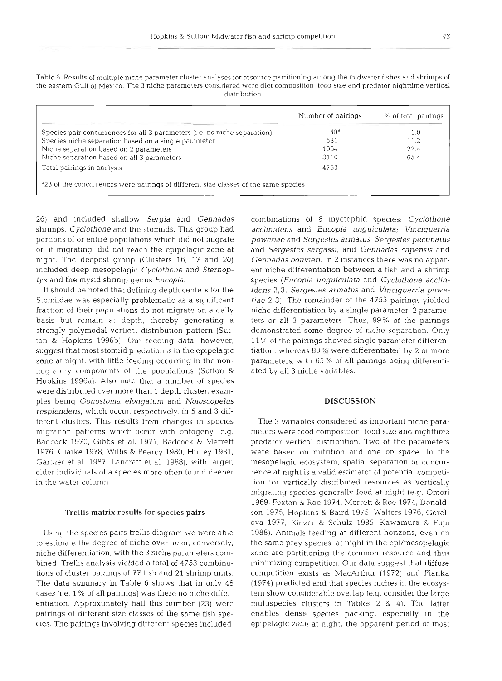|                                                                           | Number of pairings | % of total pairings |
|---------------------------------------------------------------------------|--------------------|---------------------|
| Species pair concurrences for all 3 parameters (i.e. no niche separation) | 48 <sup>d</sup>    | 1.0                 |
| Species niche separation based on a single parameter                      | 531                | 11.2                |
| Niche separation based on 2 parameters                                    | 1064               | 22.4                |
| Niche separation based on all 3 parameters                                | 3110               | 65.4                |
| Total pairings in analysis                                                | 4753               |                     |

Table 6. Results of multiple niche parameter cluster analyses for resource partitioning among the midwater fishes and shrimps of the eastern Gulf of Mexico. The **3** niche parameters considered were diet composition, food slze and predator nighttime vertical

26) and included shallow *Sergia* and *Gennadas*  shrimps, *Cyclothone* and the stomiids. This group had portions of or entire populations which did not migrate or, if migrating, did not reach the epipelagic zone at night. The deepest group (Clusters 16, 17 and 20) included deep mesopelagic *Cyclothone* and *Sternoptyx* and the mysid shrimp genus *Eucopia.* 

It should be noted that defining depth centers for the Stomiidae was especially problematic as a significant fraction of their populations do not migrate on a daily basis but remain at depth, thereby generating a strongly polymodal vertical distribution pattern (Sutton & Hopkins 1996b). Our feeding data, however, suggest that most stomiid predation is in the epipelagic zone at night, with little feeding occurring in the nonmigratory components of the populations (Sutton & Hopkins 1996a). Also note that a number of species were distributed over more than 1 depth cluster, examples being *Gonostorna elongatum* and *Notoscopelus resplendens,* which occur, respectively, in 5 and 3 different clusters. This results from changes in species migration patterns which occur with ontogeny (e.g. Badcock 1970, Gibbs et al. 1971, Badcock & Merrett 1976, Clarke 1978, Willis & Pearcy 1980, Hulley 1981, Gartner et al. 1987, Lancraft et al. 1988). with larger, older individuals of a species more often found deeper in the water column.

#### Trellis matrix results for species pairs

Using the species pairs trellis diagram we were able to estimate the degree of niche overlap or, conversely, niche differentiation, with the 3 niche parameters combined. Trellis analysis yielded a total of 4753 combinations of cluster pairings of 77 fish and 21 shrimp units. The data summary in Table 6 shows that in only 48 cases (i.e. 1 % of all pairings) was there no niche differentiation. Approximately half this number (23) were pairings of different size classes of the same fish species. The pairings involving different species included:

combinations of 8 myctophid species; *Cyclothone acclinidens* and *Eucopia unguicula ta; Vinciguerria poweriae* and *Sergestes arrna tus; Sergestes pectinatus*  and *Sergestes sargassi;* and *Gennadas capensis* and *Gennadas bouvieri.* In *2* instances there was no apparent niche differentiation between a fish and a shrimp species *(Eucopia unguiculata* and *Cyclothone acclinidens* 2,3, *Sergestes arrnatus* and *Vinciguerna powenae* 2,3). The remainder of the 4753 pairings yielded niche differentiation by a single parameter, **2** parameters or all 3 parameters. Thus, 99% of the palrings demonstrated some degree of niche separation. Only 11 *"/o* of the pairings showed single parameter differentiation, whereas  $88\%$  were differentiated by 2 or more parameters, with 65 % of all painngs being differentiated by all 3 niche variables.

#### **DISCUSSION**

The 3 variables considered as important niche parameters were food composition, food size and nighttime predator vertical distribution. Two of the parameters were based on nutrition and one on space. In the mesopelagic ecosystem, spatial separation or concurrence at night is a valid estimator of potential competition for vertically distributed resources as vertically migrating species generally feed at night (e.g. Omori 1969, Foxton & Roe 1974, Merrett & Roe 1974, Donaldson 1975, Hopkins & Baird 1975, Walters 1976, Gorelova 1977, Kinzer & Schulz 1985, Kawamura & Fujii 1988). Animals feeding at different horizons, even on the same prey species, at night in the epi/mesopelagic zone are partitioning the common resource and thus minimizing competition. Our data suggest that diffuse competition exists as MacArthur (1972) and Pianka (1974) predicted and that species niches in the ecosystem show considerable overlap (e.g. consider the large multispecies clusters in Tables 2 & 4). The latter enables dense species packing, especially in the epipelagic zone at night, the apparent period of most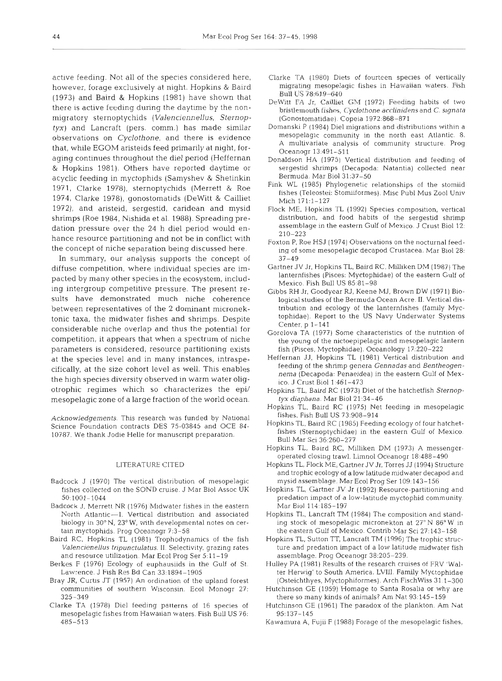active feeding. Not all of the species considered here, however, forage exclusively at night. Hopkins & Baird (1973) and Baird & Hopklns (1981) have shown that there is active feeding during the daytime by the nonmigratory sternoptychids (Valenciennellus, Sternoptyx) and Lancraft (pers. comm.) has made similar observations on Cyclothone, and there is evidence that, while EGOM aristeids feed primarily at night, foraging continues throughout the diel period (Heffernan & Hopkins 1981). Others have reported daytime or acyclic feeding in myctophids (Samyshev & Shetinkin 197 1, Clarke 1978), sternoptychids (Merrett & Roe 1974, Clarke 1978), gonostomatids (DeWitt & Cailliet 1972), and aristeid, sergestid, caridean and mysid shrimps (Roe 1984, Nishida et al. 1988). Spreading predation pressure over the 24 h diel period would enhance resource partitioning and not be in conflict with the concept of niche separation being discussed here.

In summary, our analysis supports the concept of diffuse competition, where individual species are impacted by many other species in the ecosystem, including intergroup competitive pressure. The present results have demonstrated much niche coherence between representatives of the 2 dominant micronektonic taxa, the midwater fishes and shrimps. Despite considerable niche overlap and thus the potential for competition, it appears that when a spectrum of niche parameters is considered, resource partitioning exists at the species level and in many instances, intraspecifically, at the size cohort level as well. This enables the high species diversity observed in warm water oligotrophic regimes which so characterizes the epi/ mesopelagic zone of a large fraction of the world ocean.

Acknowledgements. This research was funded by National Science Foundation contracts DES 75-03845 and OCE 84- 10787. We thank Jodie Helle for manuscript preparation.

#### LITERATURE CITED

- Badcock J (1970) The vertical distribution of mesopelagic fishes collected on the SOND cruise. J Mar Biol Assoc UK 5O:lOOl-1044
- Badcock J, Merrett NR (1976) Mldwater fishes in the eastern North Atlantic-1. Vertical distribution and associated biology in 30" N, 23" W, with developmental notes on certain myctophids. Prog Oceanogr 7:3-58
- Baird RC. Hopkins TL (1981) Trophodynamics of the fish Valencienellus tripunctulatus. II. Selectivity, grazing rates and resource utilization. Mar Ecol Prog Ser 5:11-19
- Berkes F (1976) Ecology of euphausiids in the Gulf of St. Lawrence. J Fish Re5 Bd Can 33:1894-1905
- Bray JR, Curtis JT (1957) An ordination of the upland forest communities of southern Wisconsin. Ecol Monogr 27: 325-349
- Clarke TA (1978) Die1 feeding patterns of 16 species of mesopelagic fishes from Hawaiian waters. Fish Bull US 76: 485-513
- Clarke TA (1980) Diets of fourteen species of vertically migrating mesopelagic fishes in Hawaiian wdters. Fish Bull US 78:619-640
- DeWitt FA Jr, Cailliet GM (1972) Feeding habits of two bristlemouth fishes, *Cyclothone acclinidens* and *C. signata* (Gonostomatidae). Copeia 1972:868-871
- Domanski P (1984) Diel migrations and distributions within a mesopelagic community in the north east Atlantic. 8. A multivariate analysis of community structure. Prog Oceanogr 13:491-511
- Donaldson HA (1975) Vertical distribution and feeding of sergestid shrimps (Decapoda: Natantia) collected near Bermuda. Mar Biol 31:37-50
- Fink WL (1985) Phylogenetic relationships of the stomiid fishes (Teleostei: Stomiiformes). Misc Pub1 Mus Zoo1 Univ Mich 171:l-127
- Flock ME, Hopkins TL (1992) Species composition, vertical distribution, and food habits of the sergestid shrimp assemblage in the eastern Gulf of Mexico. J Crust Biol 12: 210-223
- Foxton P, Roe HSJ (1974) Observations on the nocturnal feeding of some mesopelagic decapod Crustacea. Mar Biol 28: 37-49
- Gartner JV Jr, Hopkins TL, Baird RC, Milliken DM (1987) The lanternfishes (Pisces: Myctophidae) of the eastern Gulf of Mexico. Fish Bull US 85:81-98
- Gibbs RH Jr, Goodyear RJ, Keene MJ, Brown DW (1971) Biological studies of the Bermuda Ocean Acre. **11.** Vertical distribution and ecology of the lanternfishes (family Myctophidae). Report to the US Navy Underwater Systems Center, p 1-141
- Gorelova TA (1977) Some characteristics of the nutntion of the young of the nictoepipelagic and rnesopelagic lantern fish (Pisces, Myctophidae). Oceanology 17:220-222
- Heffernan JJ, Hopkins TL (1981) Vertical distribution and feeding of the shrimp genera Gennadas and Bentheogennema (Decapoda: Penaeidea) in the eastern Gulf of Mexico. J Crust Biol 1:461-473
- Hopkins TL, Baird RC (1973) Diet of the hatchetfish Sternoptyx diaphana. Mar Biol 21-34-46
- Hopkins TL, Baird RC (1975) Net feeding in mesopelagic fishes. Fish Bull US 73:908-914
- Hopkins TL, Baird RC (1985) Feeding ecology of four hatchetfishes (Sternoptychidae) in the eastern Gulf of Mexico. Bull Mar Sci 36:260-277
- Hopkins TL, Baird RC, Milliken DM (1973) A messengeroperated closing trawl. Limnol Oceanogr 18:488-490
- Hopkms TL, Flock ME, Gartner JV Jr. Torres JJ (1994) Structure and trophic ecology of a low latitude midwater decapod and mysid assemblage. Mar Ecol Prog Ser 109:143-156
- Hopkins TL, Gartner JV Jr (1992) Resource-partitioning and predation impact of a low-latitude myctophid community. Mar Biol 114:185-197
- Hopkins TL, Lancraft TM (1984) The composition and standing stock of mesopelagic micronekton at 27°N 86°W in the eastern Gulf of Mexico. Contrib Mar Sci 27:143-158
- Hopkins TL, Sutton TT, Lancraft TM (1996) The trophic structure and predation impact of a low latitude midwater fish assemblage. Prog Oceanogr 38:205-239.
- Hulley PA (1981) Results of the research cruises of FRV 'Walter Herwiq' to South America. LVIII. Family Myctophidae (Osteichthyes, Myctophiformes). Arch FischWiss 31:l-300
- Hutchinson GE (1959) Homage to Santa Rosalia or why are there so many kinds of animals? Am Nat 93:145-159
- Hutchinson GE (1961) The paradox of the plankton. Am Nat 95:137-145
- Kawamura A, Fujii F (1988) Forage of the mesopelagic fishes,